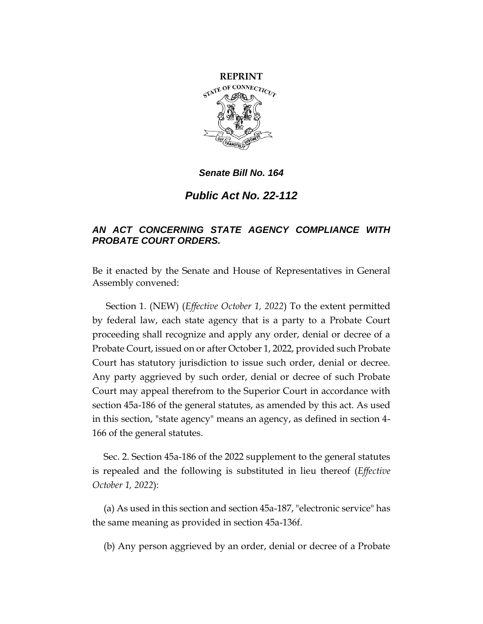

*Public Act No. 22-112*

# *AN ACT CONCERNING STATE AGENCY COMPLIANCE WITH PROBATE COURT ORDERS.*

Be it enacted by the Senate and House of Representatives in General Assembly convened:

Section 1. (NEW) (*Effective October 1, 2022*) To the extent permitted by federal law, each state agency that is a party to a Probate Court proceeding shall recognize and apply any order, denial or decree of a Probate Court, issued on or after October 1, 2022, provided such Probate Court has statutory jurisdiction to issue such order, denial or decree. Any party aggrieved by such order, denial or decree of such Probate Court may appeal therefrom to the Superior Court in accordance with section 45a-186 of the general statutes, as amended by this act. As used in this section, "state agency" means an agency, as defined in section 4- 166 of the general statutes.

Sec. 2. Section 45a-186 of the 2022 supplement to the general statutes is repealed and the following is substituted in lieu thereof (*Effective October 1, 2022*):

(a) As used in this section and section 45a-187, "electronic service" has the same meaning as provided in section 45a-136f.

(b) Any person aggrieved by an order, denial or decree of a Probate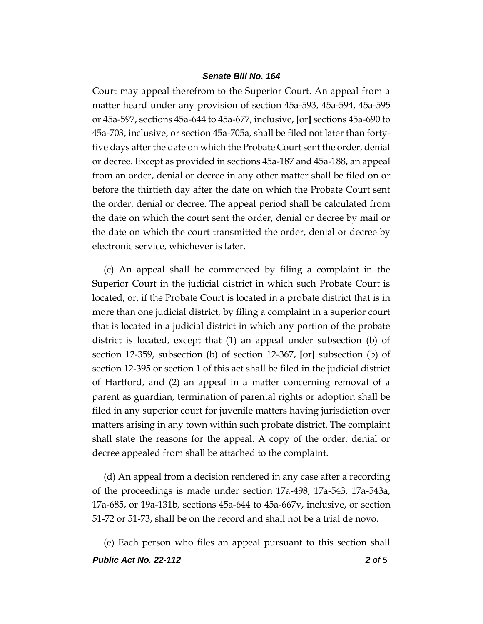Court may appeal therefrom to the Superior Court. An appeal from a matter heard under any provision of section 45a-593, 45a-594, 45a-595 or 45a-597, sections 45a-644 to 45a-677, inclusive, **[**or**]** sections 45a-690 to 45a-703, inclusive, <u>or section 45a-705a</u>, shall be filed not later than fortyfive days after the date on which the Probate Court sent the order, denial or decree. Except as provided in sections 45a-187 and 45a-188, an appeal from an order, denial or decree in any other matter shall be filed on or before the thirtieth day after the date on which the Probate Court sent the order, denial or decree. The appeal period shall be calculated from the date on which the court sent the order, denial or decree by mail or the date on which the court transmitted the order, denial or decree by electronic service, whichever is later.

(c) An appeal shall be commenced by filing a complaint in the Superior Court in the judicial district in which such Probate Court is located, or, if the Probate Court is located in a probate district that is in more than one judicial district, by filing a complaint in a superior court that is located in a judicial district in which any portion of the probate district is located, except that (1) an appeal under subsection (b) of section 12-359, subsection (b) of section 12-367, **[**or**]** subsection (b) of section 12-395 or section 1 of this act shall be filed in the judicial district of Hartford, and (2) an appeal in a matter concerning removal of a parent as guardian, termination of parental rights or adoption shall be filed in any superior court for juvenile matters having jurisdiction over matters arising in any town within such probate district. The complaint shall state the reasons for the appeal. A copy of the order, denial or decree appealed from shall be attached to the complaint.

(d) An appeal from a decision rendered in any case after a recording of the proceedings is made under section 17a-498, 17a-543, 17a-543a, 17a-685, or 19a-131b, sections 45a-644 to 45a-667v, inclusive, or section 51-72 or 51-73, shall be on the record and shall not be a trial de novo.

*Public Act No. 22-112 2 of 5* (e) Each person who files an appeal pursuant to this section shall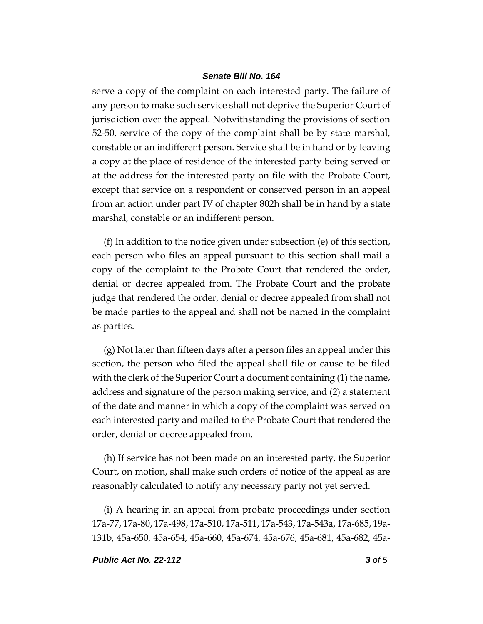serve a copy of the complaint on each interested party. The failure of any person to make such service shall not deprive the Superior Court of jurisdiction over the appeal. Notwithstanding the provisions of section 52-50, service of the copy of the complaint shall be by state marshal, constable or an indifferent person. Service shall be in hand or by leaving a copy at the place of residence of the interested party being served or at the address for the interested party on file with the Probate Court, except that service on a respondent or conserved person in an appeal from an action under part IV of chapter 802h shall be in hand by a state marshal, constable or an indifferent person.

(f) In addition to the notice given under subsection (e) of this section, each person who files an appeal pursuant to this section shall mail a copy of the complaint to the Probate Court that rendered the order, denial or decree appealed from. The Probate Court and the probate judge that rendered the order, denial or decree appealed from shall not be made parties to the appeal and shall not be named in the complaint as parties.

(g) Not later than fifteen days after a person files an appeal under this section, the person who filed the appeal shall file or cause to be filed with the clerk of the Superior Court a document containing (1) the name, address and signature of the person making service, and (2) a statement of the date and manner in which a copy of the complaint was served on each interested party and mailed to the Probate Court that rendered the order, denial or decree appealed from.

(h) If service has not been made on an interested party, the Superior Court, on motion, shall make such orders of notice of the appeal as are reasonably calculated to notify any necessary party not yet served.

(i) A hearing in an appeal from probate proceedings under section 17a-77, 17a-80, 17a-498, 17a-510, 17a-511, 17a-543, 17a-543a, 17a-685, 19a-131b, 45a-650, 45a-654, 45a-660, 45a-674, 45a-676, 45a-681, 45a-682, 45a-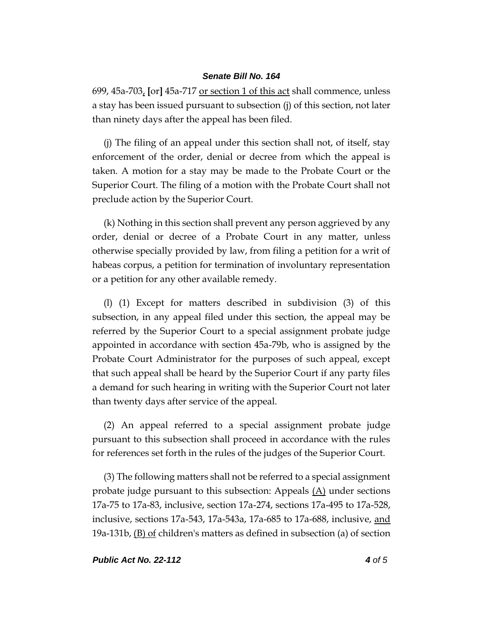699, 45a-703, **[**or**]** 45a-717 or section 1 of this act shall commence, unless a stay has been issued pursuant to subsection (j) of this section, not later than ninety days after the appeal has been filed.

(j) The filing of an appeal under this section shall not, of itself, stay enforcement of the order, denial or decree from which the appeal is taken. A motion for a stay may be made to the Probate Court or the Superior Court. The filing of a motion with the Probate Court shall not preclude action by the Superior Court.

(k) Nothing in this section shall prevent any person aggrieved by any order, denial or decree of a Probate Court in any matter, unless otherwise specially provided by law, from filing a petition for a writ of habeas corpus, a petition for termination of involuntary representation or a petition for any other available remedy.

(l) (1) Except for matters described in subdivision (3) of this subsection, in any appeal filed under this section, the appeal may be referred by the Superior Court to a special assignment probate judge appointed in accordance with section 45a-79b, who is assigned by the Probate Court Administrator for the purposes of such appeal, except that such appeal shall be heard by the Superior Court if any party files a demand for such hearing in writing with the Superior Court not later than twenty days after service of the appeal.

(2) An appeal referred to a special assignment probate judge pursuant to this subsection shall proceed in accordance with the rules for references set forth in the rules of the judges of the Superior Court.

(3) The following matters shall not be referred to a special assignment probate judge pursuant to this subsection: Appeals  $(A)$  under sections 17a-75 to 17a-83, inclusive, section 17a-274, sections 17a-495 to 17a-528, inclusive, sections 17a-543, 17a-543a, 17a-685 to 17a-688, inclusive, and 19a-131b, (B) of children's matters as defined in subsection (a) of section